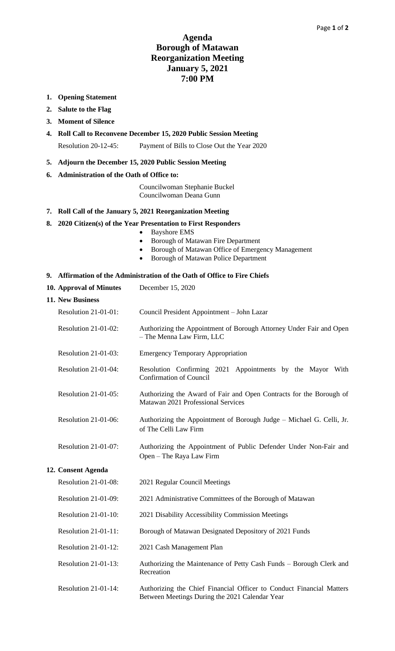## **Agenda Borough of Matawan Reorganization Meeting January 5, 2021 7:00 PM**

- **1. Opening Statement**
- **2. Salute to the Flag**
- **3. Moment of Silence**
- **4. Roll Call to Reconvene December 15, 2020 Public Session Meeting** Resolution 20-12-45: Payment of Bills to Close Out the Year 2020
- **5. Adjourn the December 15, 2020 Public Session Meeting**
- **6. Administration of the Oath of Office to:**

Councilwoman Stephanie Buckel Councilwoman Deana Gunn

## **7. Roll Call of the January 5, 2021 Reorganization Meeting**

## **8. 2020 Citizen(s) of the Year Presentation to First Responders**

- Bayshore EMS
- Borough of Matawan Fire Department
- Borough of Matawan Office of Emergency Management

• Borough of Matawan Police Department

### **9. Affirmation of the Administration of the Oath of Office to Fire Chiefs**

|  |  | 10. Approval of Minutes | December 15, 2020 |  |  |
|--|--|-------------------------|-------------------|--|--|
|--|--|-------------------------|-------------------|--|--|

| Resolution $21-01-01$ : | Council President Appointment – John Lazar                                                       |
|-------------------------|--------------------------------------------------------------------------------------------------|
| Resolution $21-01-02$ : | Authorizing the Appointment of Borough Attorney Under Fair and Open<br>- The Menna Law Firm, LLC |
| Resolution $21-01-03$ : | <b>Emergency Temporary Appropriation</b>                                                         |
| Resolution $21-01-04$ : | Resolution Confirming 2021 Appointments by the Mayor With                                        |

- Confirmation of Council Resolution 21-01-05: Authorizing the Award of Fair and Open Contracts for the Borough of
- Matawan 2021 Professional Services
- Resolution 21-01-06: Authorizing the Appointment of Borough Judge Michael G. Celli, Jr. of The Celli Law Firm
- Resolution 21-01-07: Authorizing the Appointment of Public Defender Under Non-Fair and Open – The Raya Law Firm

#### **12. Consent Agenda**

**11. New Business**

| Resolution 21-01-08:    | 2021 Regular Council Meetings                                                                                          |
|-------------------------|------------------------------------------------------------------------------------------------------------------------|
| Resolution $21-01-09$ : | 2021 Administrative Committees of the Borough of Matawan                                                               |
| Resolution $21-01-10$ : | 2021 Disability Accessibility Commission Meetings                                                                      |
| Resolution $21-01-11$ : | Borough of Matawan Designated Depository of 2021 Funds                                                                 |
| Resolution $21-01-12$ : | 2021 Cash Management Plan                                                                                              |
| Resolution $21-01-13$ : | Authorizing the Maintenance of Petty Cash Funds – Borough Clerk and<br>Recreation                                      |
| Resolution 21-01-14:    | Authorizing the Chief Financial Officer to Conduct Financial Matters<br>Between Meetings During the 2021 Calendar Year |